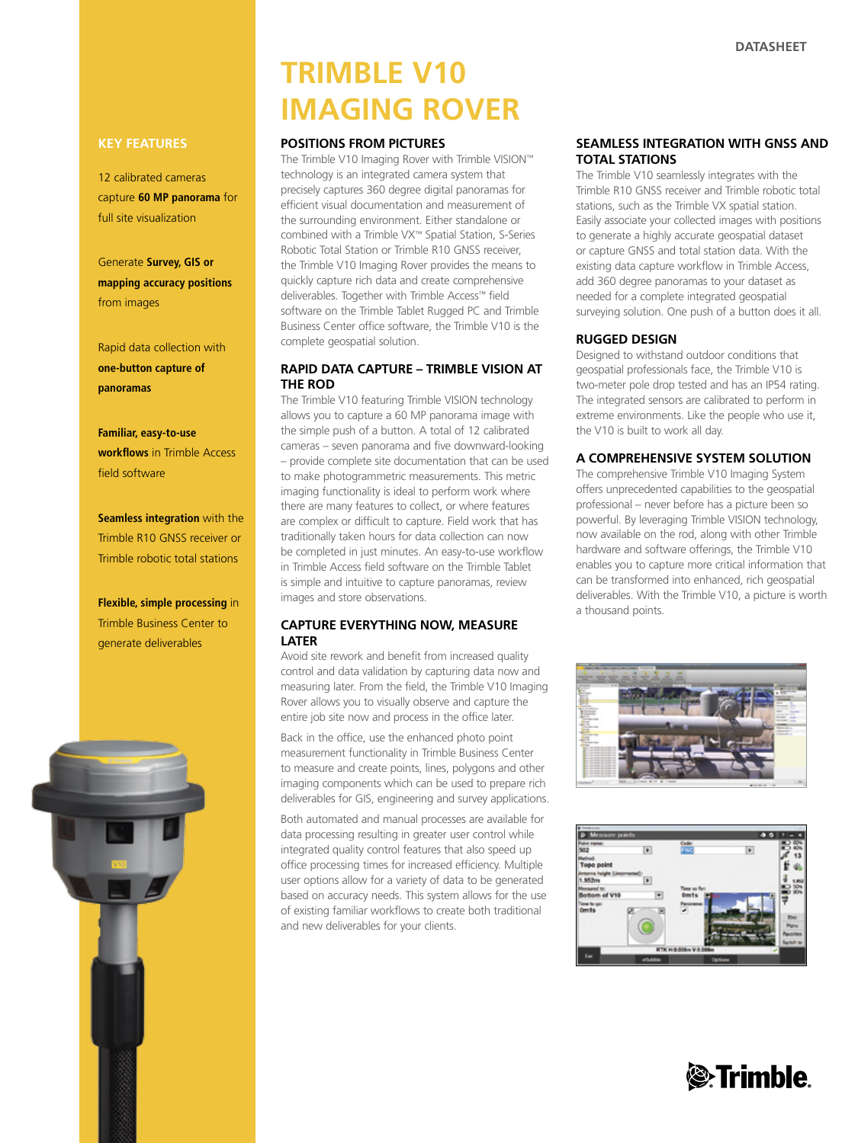#### **Key Features**

12 calibrated cameras capture **60 MP panorama** for full site visualization

Generate **Survey, GIS or mapping accuracy positions** from images

Rapid data collection with **one-button capture of panoramas**

**Familiar, easy-to-use workflows** in Trimble Access field software

**Seamless integration** with the Trimble R10 GNSS receiver or Trimble robotic total stations

**Flexible, simple processing** in Trimble Business Center to generate deliverables



# **trimble V10 imaging rover**

#### **Positions from Pictures**

The Trimble V10 Imaging Rover with Trimble VISION™ technology is an integrated camera system that precisely captures 360 degree digital panoramas for efficient visual documentation and measurement of the surrounding environment. Either standalone or combined with a Trimble VX™ Spatial Station, S-Series Robotic Total Station or Trimble R10 GNSS receiver, the Trimble V10 Imaging Rover provides the means to quickly capture rich data and create comprehensive deliverables. Together with Trimble Access™ field software on the Trimble Tablet Rugged PC and Trimble Business Center office software, the Trimble V10 is the complete geospatial solution.

### **Rapid Data Capture – Trimble VISION at the rod**

The Trimble V10 featuring Trimble VISION technology allows you to capture a 60 MP panorama image with the simple push of a button. A total of 12 calibrated cameras – seven panorama and five downward-looking – provide complete site documentation that can be used to make photogrammetric measurements. This metric imaging functionality is ideal to perform work where there are many features to collect, or where features are complex or difficult to capture. Field work that has traditionally taken hours for data collection can now be completed in just minutes. An easy-to-use workflow in Trimble Access field software on the Trimble Tablet is simple and intuitive to capture panoramas, review images and store observations.

#### **Capture Everything Now, Measure Later**

Avoid site rework and benefit from increased quality control and data validation by capturing data now and measuring later. From the field, the Trimble V10 Imaging Rover allows you to visually observe and capture the entire job site now and process in the office later.

Back in the office, use the enhanced photo point measurement functionality in Trimble Business Center to measure and create points, lines, polygons and other imaging components which can be used to prepare rich deliverables for GIS, engineering and survey applications.

Both automated and manual processes are available for data processing resulting in greater user control while integrated quality control features that also speed up office processing times for increased efficiency. Multiple user options allow for a variety of data to be generated based on accuracy needs. This system allows for the use of existing familiar workflows to create both traditional and new deliverables for your clients.

#### **Seamless Integration with GNSS and Total Stations**

The Trimble V10 seamlessly integrates with the Trimble R10 GNSS receiver and Trimble robotic total stations, such as the Trimble VX spatial station. Easily associate your collected images with positions to generate a highly accurate geospatial dataset or capture GNSS and total station data. With the existing data capture workflow in Trimble Access, add 360 degree panoramas to your dataset as needed for a complete integrated geospatial surveying solution. One push of a button does it all.

#### **Rugged Design**

Designed to withstand outdoor conditions that geospatial professionals face, the Trimble V10 is two-meter pole drop tested and has an IP54 rating. The integrated sensors are calibrated to perform in extreme environments. Like the people who use it, the V10 is built to work all day.

#### **A Comprehensive System Solution**

The comprehensive Trimble V10 Imaging System offers unprecedented capabilities to the geospatial professional – never before has a picture been so powerful. By leveraging Trimble VISION technology, now available on the rod, along with other Trimble hardware and software offerings, the Trimble V10 enables you to capture more critical information that can be transformed into enhanced, rich geospatial deliverables. With the Trimble V10, a picture is worth a thousand points.





# **&**Trimble